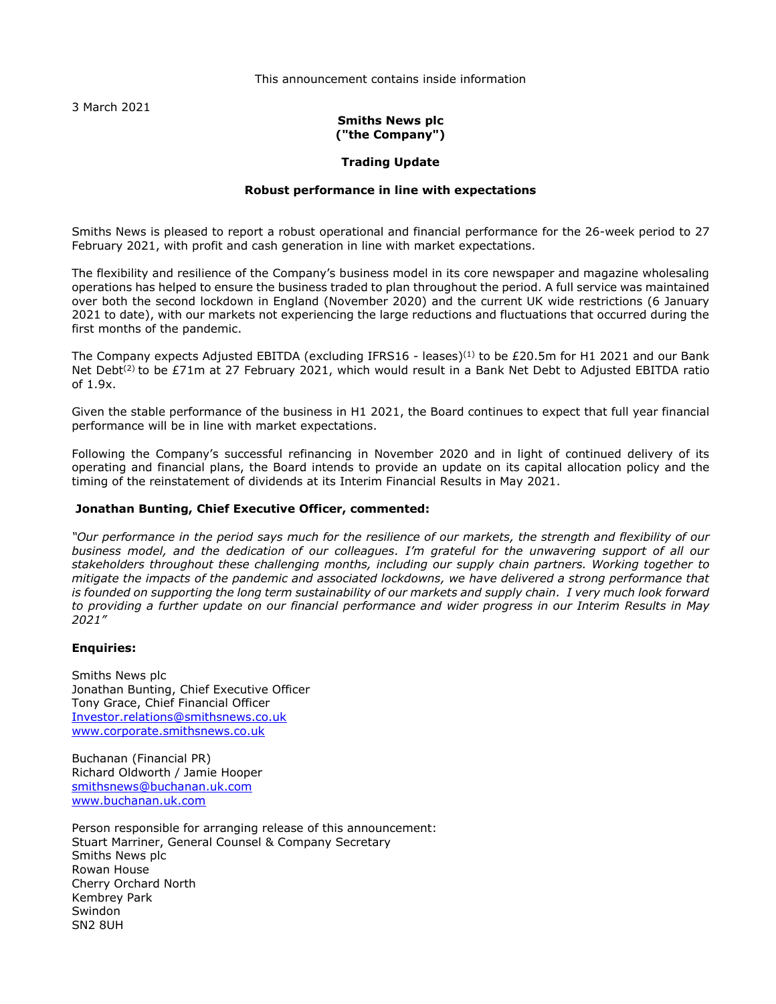This announcement contains inside information

3 March 2021

# **Smiths News plc ("the Company")**

# **Trading Update**

# **Robust performance in line with expectations**

Smiths News is pleased to report a robust operational and financial performance for the 26-week period to 27 February 2021, with profit and cash generation in line with market expectations.

The flexibility and resilience of the Company's business model in its core newspaper and magazine wholesaling operations has helped to ensure the business traded to plan throughout the period. A full service was maintained over both the second lockdown in England (November 2020) and the current UK wide restrictions (6 January 2021 to date), with our markets not experiencing the large reductions and fluctuations that occurred during the first months of the pandemic.

The Company expects Adjusted EBITDA (excluding IFRS16 - leases)<sup>(1)</sup> to be £20.5m for H1 2021 and our Bank Net Debt<sup>(2)</sup> to be £71m at 27 February 2021, which would result in a Bank Net Debt to Adjusted EBITDA ratio of 1.9x.

Given the stable performance of the business in H1 2021, the Board continues to expect that full year financial performance will be in line with market expectations.

Following the Company's successful refinancing in November 2020 and in light of continued delivery of its operating and financial plans, the Board intends to provide an update on its capital allocation policy and the timing of the reinstatement of dividends at its Interim Financial Results in May 2021.

# **Jonathan Bunting, Chief Executive Officer, commented:**

*"Our performance in the period says much for the resilience of our markets, the strength and flexibility of our business model, and the dedication of our colleagues. I'm grateful for the unwavering support of all our stakeholders throughout these challenging months, including our supply chain partners. Working together to mitigate the impacts of the pandemic and associated lockdowns, we have delivered a strong performance that is founded on supporting the long term sustainability of our markets and supply chain. I very much look forward to providing a further update on our financial performance and wider progress in our Interim Results in May 2021"*

### **Enquiries:**

Smiths News plc Jonathan Bunting, Chief Executive Officer Tony Grace, Chief Financial Officer [Investor.relations@smithsnews.co.uk](mailto:Investor.relations@smithsnews.co.uk) [www.corporate.smithsnews.co.uk](http://www.corporate.smithsnews.co.uk/)

Buchanan (Financial PR) Richard Oldworth / Jamie Hooper [smithsnews@buchanan.uk.com](mailto:connect@buchanan.uk.com) [www.buchanan.uk.com](http://www.buchanan.uk.com/)

Person responsible for arranging release of this announcement: Stuart Marriner, General Counsel & Company Secretary Smiths News plc Rowan House Cherry Orchard North Kembrey Park Swindon SN2 8UH